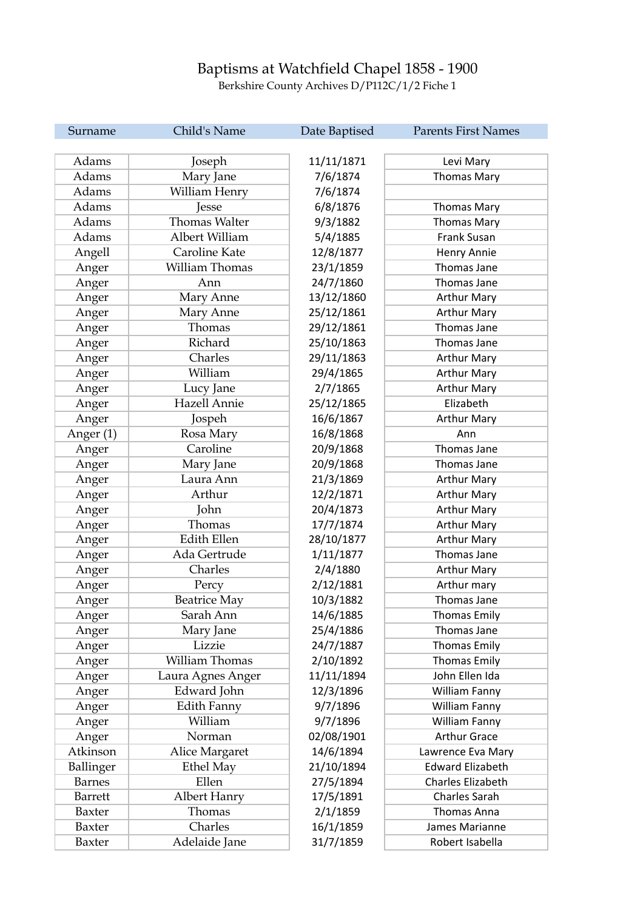## Baptisms at Watchfield Chapel 1858 - 1900

Berkshire County Archives D/P112C/1/2 Fiche 1

| Surname        | Child's Name         | Date Baptised | <b>Parents First Names</b> |
|----------------|----------------------|---------------|----------------------------|
|                |                      |               |                            |
| Adams          | Joseph               | 11/11/1871    | Levi Mary                  |
| Adams          | Mary Jane            | 7/6/1874      | <b>Thomas Mary</b>         |
| Adams          | William Henry        | 7/6/1874      |                            |
| Adams          | Jesse                | 6/8/1876      | <b>Thomas Mary</b>         |
| Adams          | <b>Thomas Walter</b> | 9/3/1882      | <b>Thomas Mary</b>         |
| Adams          | Albert William       | 5/4/1885      | Frank Susan                |
| Angell         | Caroline Kate        | 12/8/1877     | Henry Annie                |
| Anger          | William Thomas       | 23/1/1859     | Thomas Jane                |
| Anger          | Ann                  | 24/7/1860     | <b>Thomas Jane</b>         |
| Anger          | Mary Anne            | 13/12/1860    | <b>Arthur Mary</b>         |
| Anger          | Mary Anne            | 25/12/1861    | <b>Arthur Mary</b>         |
| Anger          | Thomas               | 29/12/1861    | Thomas Jane                |
| Anger          | Richard              | 25/10/1863    | Thomas Jane                |
| Anger          | Charles              | 29/11/1863    | <b>Arthur Mary</b>         |
| Anger          | William              | 29/4/1865     | <b>Arthur Mary</b>         |
| Anger          | Lucy Jane            | 2/7/1865      | <b>Arthur Mary</b>         |
| Anger          | Hazell Annie         | 25/12/1865    | Elizabeth                  |
| Anger          | Jospeh               | 16/6/1867     | <b>Arthur Mary</b>         |
| Anger (1)      | Rosa Mary            | 16/8/1868     | Ann                        |
| Anger          | Caroline             | 20/9/1868     | Thomas Jane                |
|                | Mary Jane            | 20/9/1868     | Thomas Jane                |
| Anger          | Laura Ann            | 21/3/1869     | <b>Arthur Mary</b>         |
| Anger          | Arthur               |               |                            |
| Anger          |                      | 12/2/1871     | <b>Arthur Mary</b>         |
| Anger          | John                 | 20/4/1873     | <b>Arthur Mary</b>         |
| Anger          | Thomas               | 17/7/1874     | <b>Arthur Mary</b>         |
| Anger          | <b>Edith Ellen</b>   | 28/10/1877    | <b>Arthur Mary</b>         |
| Anger          | Ada Gertrude         | 1/11/1877     | Thomas Jane                |
| Anger          | Charles              | 2/4/1880      | <b>Arthur Mary</b>         |
| Anger          | Percy                | 2/12/1881     | Arthur mary                |
| Anger          | <b>Beatrice May</b>  | 10/3/1882     | Thomas Jane                |
| Anger          | Sarah Ann            | 14/6/1885     | Thomas Emily               |
| Anger          | Mary Jane            | 25/4/1886     | Thomas Jane                |
| Anger          | Lizzie               | 24/7/1887     | <b>Thomas Emily</b>        |
| Anger          | William Thomas       | 2/10/1892     | <b>Thomas Emily</b>        |
| Anger          | Laura Agnes Anger    | 11/11/1894    | John Ellen Ida             |
| Anger          | Edward John          | 12/3/1896     | William Fanny              |
| Anger          | Edith Fanny          | 9/7/1896      | William Fanny              |
| Anger          | William              | 9/7/1896      | <b>William Fanny</b>       |
| Anger          | Norman               | 02/08/1901    | <b>Arthur Grace</b>        |
| Atkinson       | Alice Margaret       | 14/6/1894     | Lawrence Eva Mary          |
| Ballinger      | Ethel May            | 21/10/1894    | <b>Edward Elizabeth</b>    |
| <b>Barnes</b>  | Ellen                | 27/5/1894     | Charles Elizabeth          |
| <b>Barrett</b> | Albert Hanry         | 17/5/1891     | <b>Charles Sarah</b>       |
| Baxter         | Thomas               | 2/1/1859      | Thomas Anna                |
| Baxter         | Charles              | 16/1/1859     | James Marianne             |
| Baxter         | Adelaide Jane        | 31/7/1859     | Robert Isabella            |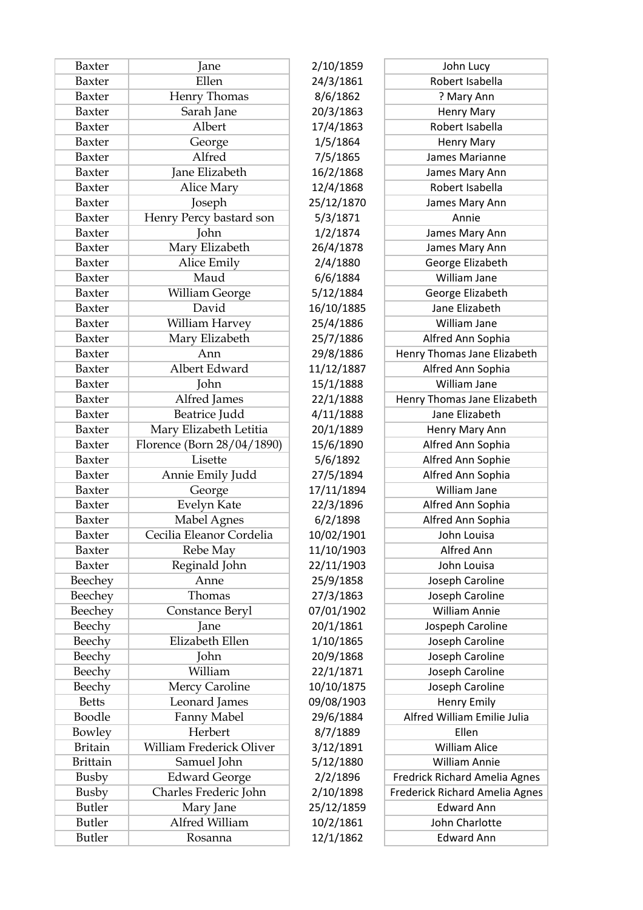| Baxter          | Jane                       | 2/10/1859  | John Lucy                             |
|-----------------|----------------------------|------------|---------------------------------------|
| Baxter          | Ellen                      | 24/3/1861  | Robert Isabella                       |
| Baxter          | Henry Thomas               | 8/6/1862   | ? Mary Ann                            |
| Baxter          | Sarah Jane                 | 20/3/1863  |                                       |
|                 | Albert                     |            | <b>Henry Mary</b><br>Robert Isabella  |
| Baxter          |                            | 17/4/1863  |                                       |
| Baxter          | George                     | 1/5/1864   | <b>Henry Mary</b>                     |
| Baxter          | Alfred                     | 7/5/1865   | James Marianne                        |
| Baxter          | Jane Elizabeth             | 16/2/1868  | James Mary Ann                        |
| Baxter          | Alice Mary                 | 12/4/1868  | Robert Isabella                       |
| Baxter          | Joseph                     | 25/12/1870 | James Mary Ann                        |
| Baxter          | Henry Percy bastard son    | 5/3/1871   | Annie                                 |
| Baxter          | John                       | 1/2/1874   | James Mary Ann                        |
| Baxter          | Mary Elizabeth             | 26/4/1878  | James Mary Ann                        |
| Baxter          | Alice Emily                | 2/4/1880   | George Elizabeth                      |
| Baxter          | Maud                       | 6/6/1884   | William Jane                          |
| Baxter          | William George             | 5/12/1884  | George Elizabeth                      |
| Baxter          | David                      | 16/10/1885 | Jane Elizabeth                        |
| Baxter          | William Harvey             | 25/4/1886  | William Jane                          |
| Baxter          | Mary Elizabeth             | 25/7/1886  | Alfred Ann Sophia                     |
| Baxter          | Ann                        | 29/8/1886  | Henry Thomas Jane Elizabeth           |
| Baxter          | Albert Edward              | 11/12/1887 | Alfred Ann Sophia                     |
| Baxter          | John                       | 15/1/1888  | William Jane                          |
| Baxter          | Alfred James               | 22/1/1888  | Henry Thomas Jane Elizabeth           |
| Baxter          | Beatrice Judd              | 4/11/1888  | Jane Elizabeth                        |
| Baxter          | Mary Elizabeth Letitia     | 20/1/1889  | Henry Mary Ann                        |
| Baxter          | Florence (Born 28/04/1890) | 15/6/1890  | Alfred Ann Sophia                     |
| Baxter          | Lisette                    | 5/6/1892   | Alfred Ann Sophie                     |
| Baxter          | Annie Emily Judd           | 27/5/1894  | Alfred Ann Sophia                     |
| Baxter          | George                     | 17/11/1894 | William Jane                          |
| Baxter          | Evelyn Kate                | 22/3/1896  | Alfred Ann Sophia                     |
| Baxter          | Mabel Agnes                | 6/2/1898   | Alfred Ann Sophia                     |
| Baxter          | Cecilia Eleanor Cordelia   | 10/02/1901 | John Louisa                           |
| Baxter          | Rebe May                   | 11/10/1903 | Alfred Ann                            |
| Baxter          | Reginald John              | 22/11/1903 | John Louisa                           |
| Beechey         | Anne                       | 25/9/1858  | Joseph Caroline                       |
| Beechey         | Thomas                     | 27/3/1863  | Joseph Caroline                       |
| Beechey         | Constance Beryl            | 07/01/1902 | William Annie                         |
| Beechy          | Jane                       | 20/1/1861  | Jospeph Caroline                      |
| Beechy          | Elizabeth Ellen            | 1/10/1865  | Joseph Caroline                       |
| Beechy          | John                       | 20/9/1868  | Joseph Caroline                       |
| Beechy          | William                    | 22/1/1871  | Joseph Caroline                       |
| Beechy          | Mercy Caroline             | 10/10/1875 | Joseph Caroline                       |
| <b>Betts</b>    | Leonard James              | 09/08/1903 | <b>Henry Emily</b>                    |
| Boodle          | Fanny Mabel                | 29/6/1884  | Alfred William Emilie Julia           |
| Bowley          | Herbert                    | 8/7/1889   | Ellen                                 |
| <b>Britain</b>  | William Frederick Oliver   | 3/12/1891  | <b>William Alice</b>                  |
| <b>Brittain</b> | Samuel John                | 5/12/1880  | <b>William Annie</b>                  |
| Busby           | <b>Edward George</b>       | 2/2/1896   | Fredrick Richard Amelia Agnes         |
| Busby           | Charles Frederic John      | 2/10/1898  | <b>Frederick Richard Amelia Agnes</b> |
| <b>Butler</b>   | Mary Jane                  | 25/12/1859 | <b>Edward Ann</b>                     |
| <b>Butler</b>   | Alfred William             | 10/2/1861  | John Charlotte                        |
|                 |                            |            |                                       |
| <b>Butler</b>   | Rosanna                    | 12/1/1862  | <b>Edward Ann</b>                     |

| 1859  | John Lucy                             |
|-------|---------------------------------------|
| 1861  | Robert Isabella                       |
| L862  | ? Mary Ann                            |
| 1863  | <b>Henry Mary</b>                     |
| 1863  | Robert Isabella                       |
| 1864  | <b>Henry Mary</b>                     |
| L865  | James Marianne                        |
| 1868  | James Mary Ann                        |
| 1868  | Robert Isabella                       |
| /1870 | James Mary Ann                        |
| 1871  | Annie                                 |
| 1874  | James Mary Ann                        |
| 1878  | James Mary Ann                        |
| 1880  | George Elizabeth                      |
| 1884  | William Jane                          |
| 1884  | George Elizabeth                      |
| 1885  | Jane Elizabeth                        |
| 1886  | William Jane                          |
| 1886  | Alfred Ann Sophia                     |
| 1886  | Henry Thomas Jane Elizabeth           |
| /1887 | Alfred Ann Sophia                     |
| 1888  | William Jane                          |
| 1888  | Henry Thomas Jane Elizabeth           |
| 1888  | Jane Elizabeth                        |
| 1889  | Henry Mary Ann                        |
| 1890  | Alfred Ann Sophia                     |
| 1892  | Alfred Ann Sophie                     |
| 1894  | Alfred Ann Sophia                     |
| 1894  | William Jane                          |
| 1896  | Alfred Ann Sophia                     |
| L898  | Alfred Ann Sophia                     |
| 1901/ | John Louisa                           |
| 1903  | <b>Alfred Ann</b>                     |
| /1903 | John Louisa                           |
| 1858  | Joseph Caroline                       |
| 1863  | Joseph Caroline                       |
| /1902 | <b>William Annie</b>                  |
| 1861  | Jospeph Caroline                      |
| 1865  | Joseph Caroline                       |
| 1868  | Joseph Caroline                       |
| 1871  | Joseph Caroline                       |
| /1875 | Joseph Caroline                       |
| /1903 | <b>Henry Emily</b>                    |
| 1884  | Alfred William Emilie Julia           |
| 1889  | Ellen                                 |
| 1891  | <b>William Alice</b>                  |
| 1880  | <b>William Annie</b>                  |
| 1896  | Fredrick Richard Amelia Agnes         |
| 1898  | <b>Frederick Richard Amelia Agnes</b> |
| 1859  | <b>Edward Ann</b>                     |
| 1861  | John Charlotte                        |
| 1862  | <b>Edward Ann</b>                     |
|       |                                       |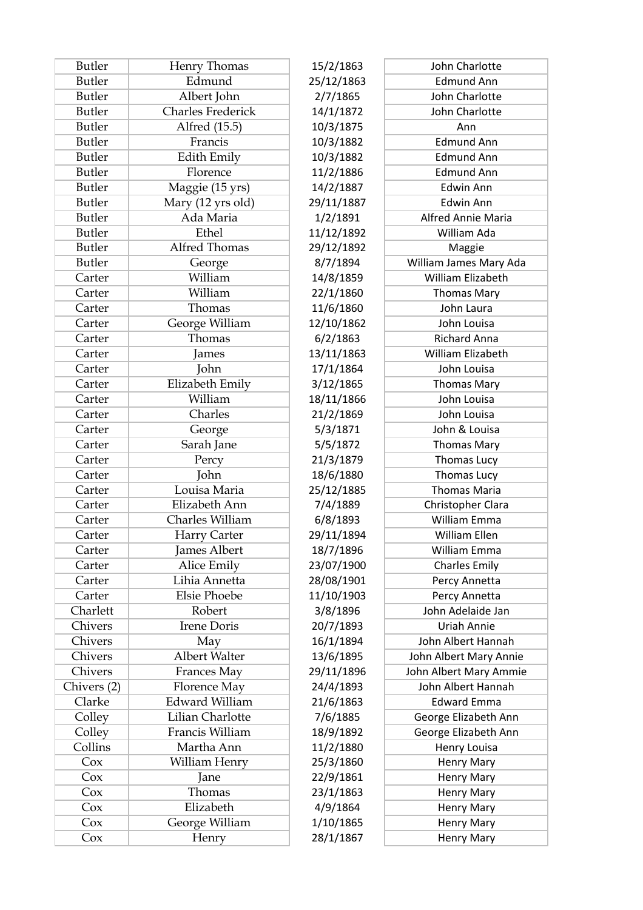| <b>Butler</b> | Henry Thomas             | 15/2/1863  | John Charlotte            |
|---------------|--------------------------|------------|---------------------------|
| <b>Butler</b> | Edmund                   | 25/12/1863 | <b>Edmund Ann</b>         |
| <b>Butler</b> | Albert John              | 2/7/1865   | John Charlotte            |
| <b>Butler</b> | <b>Charles Frederick</b> | 14/1/1872  | John Charlotte            |
| <b>Butler</b> | Alfred (15.5)            | 10/3/1875  | Ann                       |
| <b>Butler</b> | Francis                  | 10/3/1882  | <b>Edmund Ann</b>         |
| <b>Butler</b> | Edith Emily              | 10/3/1882  | <b>Edmund Ann</b>         |
| <b>Butler</b> | Florence                 | 11/2/1886  | <b>Edmund Ann</b>         |
| <b>Butler</b> | Maggie (15 yrs)          | 14/2/1887  | <b>Edwin Ann</b>          |
| <b>Butler</b> | Mary (12 yrs old)        | 29/11/1887 | Edwin Ann                 |
| <b>Butler</b> | Ada Maria                | 1/2/1891   | <b>Alfred Annie Maria</b> |
| <b>Butler</b> | Ethel                    | 11/12/1892 | William Ada               |
| <b>Butler</b> | Alfred Thomas            | 29/12/1892 | Maggie                    |
| <b>Butler</b> | George                   | 8/7/1894   | William James Mary Ada    |
| Carter        | William                  | 14/8/1859  | William Elizabeth         |
| Carter        | William                  | 22/1/1860  | <b>Thomas Mary</b>        |
| Carter        | Thomas                   | 11/6/1860  | John Laura                |
| Carter        | George William           | 12/10/1862 | John Louisa               |
| Carter        | Thomas                   | 6/2/1863   | <b>Richard Anna</b>       |
| Carter        | James                    | 13/11/1863 | William Elizabeth         |
| Carter        | John                     | 17/1/1864  | John Louisa               |
| Carter        | Elizabeth Emily          | 3/12/1865  | <b>Thomas Mary</b>        |
| Carter        | William                  | 18/11/1866 | John Louisa               |
| Carter        | Charles                  | 21/2/1869  | John Louisa               |
| Carter        | George                   | 5/3/1871   | John & Louisa             |
| Carter        | Sarah Jane               | 5/5/1872   | <b>Thomas Mary</b>        |
| Carter        | Percy                    | 21/3/1879  | Thomas Lucy               |
| Carter        | John                     | 18/6/1880  | <b>Thomas Lucy</b>        |
| Carter        | Louisa Maria             | 25/12/1885 | <b>Thomas Maria</b>       |
| Carter        | Elizabeth Ann            | 7/4/1889   | Christopher Clara         |
| Carter        | Charles William          | 6/8/1893   | William Emma              |
| Carter        | Harry Carter             | 29/11/1894 | William Ellen             |
| Carter        | James Albert             | 18/7/1896  | William Emma              |
| Carter        | Alice Emily              | 23/07/1900 | <b>Charles Emily</b>      |
| Carter        | Lihia Annetta            | 28/08/1901 | Percy Annetta             |
| Carter        | <b>Elsie Phoebe</b>      | 11/10/1903 | Percy Annetta             |
| Charlett      | Robert                   | 3/8/1896   | John Adelaide Jan         |
| Chivers       | Irene Doris              | 20/7/1893  | Uriah Annie               |
| Chivers       | May                      | 16/1/1894  | John Albert Hannah        |
| Chivers       | Albert Walter            | 13/6/1895  | John Albert Mary Annie    |
| Chivers       | Frances May              | 29/11/1896 | John Albert Mary Ammie    |
| Chivers (2)   | Florence May             | 24/4/1893  | John Albert Hannah        |
| Clarke        | <b>Edward William</b>    | 21/6/1863  | <b>Edward Emma</b>        |
| Colley        | Lilian Charlotte         | 7/6/1885   | George Elizabeth Ann      |
| Colley        | Francis William          | 18/9/1892  | George Elizabeth Ann      |
| Collins       | Martha Ann               | 11/2/1880  | <b>Henry Louisa</b>       |
| Cox           | William Henry            | 25/3/1860  | Henry Mary                |
| Cox           | Jane                     | 22/9/1861  | Henry Mary                |
| Cox           | Thomas                   | 23/1/1863  | Henry Mary                |
| Cox           | Elizabeth                | 4/9/1864   | Henry Mary                |
| Cox           | George William           | 1/10/1865  | Henry Mary                |
| Cox           | Henry                    | 28/1/1867  | Henry Mary                |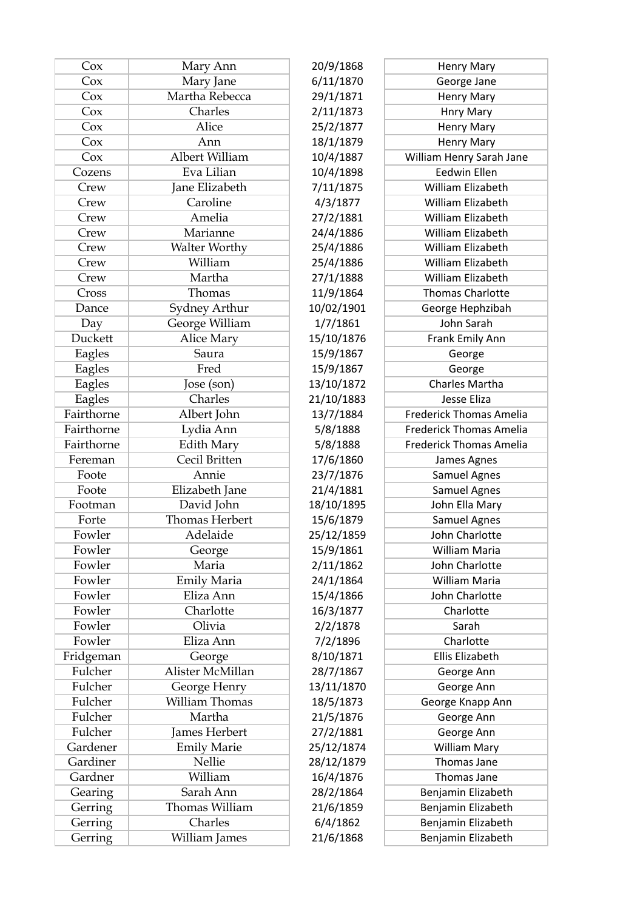| Cox                  | Mary Ann                     | 20/9/1868  | Henry Mary                         |
|----------------------|------------------------------|------------|------------------------------------|
| Cox                  | Mary Jane                    | 6/11/1870  | George Jane                        |
| Cox                  | Martha Rebecca               | 29/1/1871  | <b>Henry Mary</b>                  |
| Cox                  | Charles                      | 2/11/1873  | <b>Hnry Mary</b>                   |
| Cox                  | Alice                        | 25/2/1877  | <b>Henry Mary</b>                  |
| Cox                  | Ann                          | 18/1/1879  | <b>Henry Mary</b>                  |
| Cox                  | Albert William               | 10/4/1887  | William Henry Sarah Jane           |
| Cozens               | Eva Lilian                   | 10/4/1898  | <b>Eedwin Ellen</b>                |
| Crew                 | Jane Elizabeth               | 7/11/1875  | William Elizabeth                  |
| Crew                 | Caroline                     | 4/3/1877   | William Elizabeth                  |
| Crew                 | Amelia                       | 27/2/1881  | William Elizabeth                  |
| Crew                 | Marianne                     | 24/4/1886  | William Elizabeth                  |
| Crew                 | Walter Worthy                | 25/4/1886  | William Elizabeth                  |
| Crew                 | William                      | 25/4/1886  | William Elizabeth                  |
| Crew                 | Martha                       | 27/1/1888  | William Elizabeth                  |
| Cross                | Thomas                       | 11/9/1864  | <b>Thomas Charlotte</b>            |
| Dance                | Sydney Arthur                | 10/02/1901 | George Hephzibah                   |
| Day                  | George William               | 1/7/1861   | John Sarah                         |
| Duckett              | Alice Mary                   | 15/10/1876 | Frank Emily Ann                    |
| Eagles               | Saura                        | 15/9/1867  | George                             |
| Eagles               | Fred                         | 15/9/1867  | George                             |
| Eagles               | Jose (son)                   | 13/10/1872 | Charles Martha                     |
| Eagles               | Charles                      | 21/10/1883 | Jesse Eliza                        |
| Fairthorne           | Albert John                  | 13/7/1884  | <b>Frederick Thomas Amelia</b>     |
| Fairthorne           | Lydia Ann                    | 5/8/1888   | <b>Frederick Thomas Amelia</b>     |
| Fairthorne           | <b>Edith Mary</b>            | 5/8/1888   | <b>Frederick Thomas Amelia</b>     |
| Fereman              | Cecil Britten                | 17/6/1860  | James Agnes                        |
| Foote                | Annie                        | 23/7/1876  | <b>Samuel Agnes</b>                |
| Foote                | Elizabeth Jane               | 21/4/1881  | <b>Samuel Agnes</b>                |
| Footman              | David John                   | 18/10/1895 | John Ella Mary                     |
| Forte                | <b>Thomas Herbert</b>        | 15/6/1879  | <b>Samuel Agnes</b>                |
| Fowler               | Adelaide                     | 25/12/1859 | John Charlotte                     |
| Fowler               | George                       | 15/9/1861  | William Maria                      |
| Fowler               | Maria                        | 2/11/1862  | John Charlotte                     |
| Fowler               | <b>Emily Maria</b>           | 24/1/1864  | William Maria                      |
| Fowler               | Eliza Ann                    | 15/4/1866  | John Charlotte                     |
| Fowler               | Charlotte                    | 16/3/1877  | Charlotte                          |
| Fowler               | Olivia                       | 2/2/1878   | Sarah                              |
| Fowler               | Eliza Ann                    | 7/2/1896   | Charlotte                          |
| Fridgeman            | George                       | 8/10/1871  | Ellis Elizabeth                    |
| Fulcher              | Alister McMillan             | 28/7/1867  | George Ann                         |
| Fulcher              | George Henry                 | 13/11/1870 | George Ann                         |
| Fulcher              | William Thomas               | 18/5/1873  |                                    |
| Fulcher              | Martha                       | 21/5/1876  | George Knapp Ann                   |
| Fulcher              | James Herbert                |            | George Ann                         |
|                      |                              | 27/2/1881  | George Ann                         |
| Gardener<br>Gardiner | <b>Emily Marie</b><br>Nellie | 25/12/1874 | <b>William Mary</b><br>Thomas Jane |
| Gardner              | William                      | 28/12/1879 | Thomas Jane                        |
|                      |                              | 16/4/1876  |                                    |
| Gearing              | Sarah Ann<br>Thomas William  | 28/2/1864  | Benjamin Elizabeth                 |
| Gerring              |                              | 21/6/1859  | Benjamin Elizabeth                 |
| Gerring              | Charles                      | 6/4/1862   | Benjamin Elizabeth                 |
| Gerring              | William James                | 21/6/1868  | Benjamin Elizabeth                 |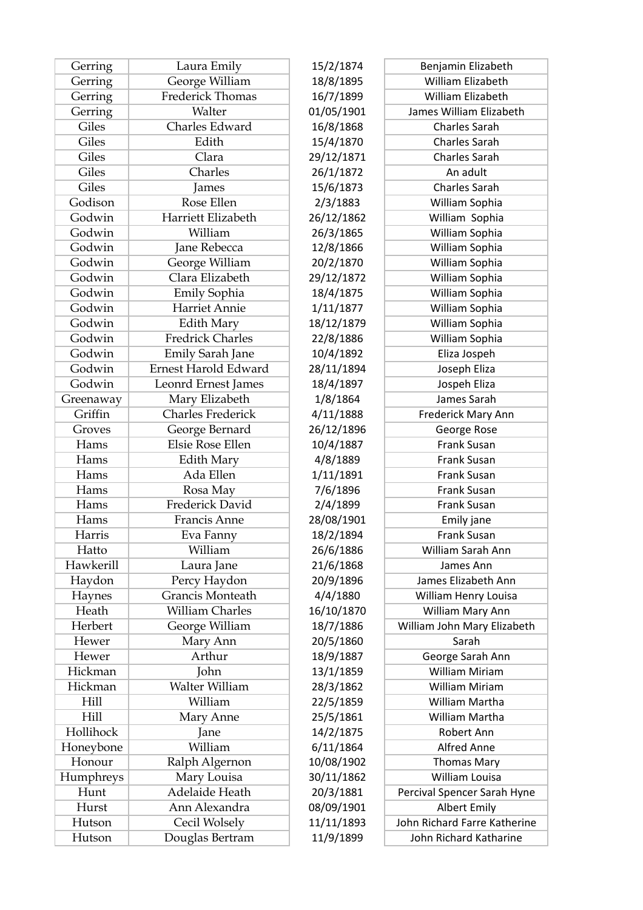| Gerring   | Laura Emily              | 15/2/1874  | Benjamin Elizabeth           |
|-----------|--------------------------|------------|------------------------------|
| Gerring   | George William           | 18/8/1895  | William Elizabeth            |
| Gerring   | Frederick Thomas         | 16/7/1899  | <b>William Elizabeth</b>     |
| Gerring   | Walter                   | 01/05/1901 | James William Elizabeth      |
| Giles     | Charles Edward           | 16/8/1868  | <b>Charles Sarah</b>         |
| Giles     | Edith                    | 15/4/1870  | <b>Charles Sarah</b>         |
| Giles     | Clara                    | 29/12/1871 | <b>Charles Sarah</b>         |
| Giles     | Charles                  | 26/1/1872  | An adult                     |
| Giles     | James                    | 15/6/1873  | <b>Charles Sarah</b>         |
| Godison   | Rose Ellen               | 2/3/1883   | William Sophia               |
| Godwin    | Harriett Elizabeth       | 26/12/1862 | William Sophia               |
| Godwin    | William                  | 26/3/1865  | William Sophia               |
| Godwin    | Jane Rebecca             | 12/8/1866  | William Sophia               |
| Godwin    | George William           | 20/2/1870  | William Sophia               |
| Godwin    | Clara Elizabeth          | 29/12/1872 | William Sophia               |
| Godwin    | Emily Sophia             | 18/4/1875  | William Sophia               |
| Godwin    | <b>Harriet Annie</b>     | 1/11/1877  | William Sophia               |
| Godwin    | <b>Edith Mary</b>        | 18/12/1879 | William Sophia               |
| Godwin    | <b>Fredrick Charles</b>  | 22/8/1886  | William Sophia               |
| Godwin    | Emily Sarah Jane         | 10/4/1892  | Eliza Jospeh                 |
| Godwin    | Ernest Harold Edward     | 28/11/1894 | Joseph Eliza                 |
| Godwin    | Leonrd Ernest James      | 18/4/1897  | Jospeh Eliza                 |
| Greenaway | Mary Elizabeth           | 1/8/1864   | James Sarah                  |
| Griffin   | <b>Charles Frederick</b> | 4/11/1888  | Frederick Mary Ann           |
| Groves    | George Bernard           | 26/12/1896 | George Rose                  |
| Hams      | Elsie Rose Ellen         | 10/4/1887  | Frank Susan                  |
| Hams      | <b>Edith Mary</b>        | 4/8/1889   | Frank Susan                  |
| Hams      | Ada Ellen                | 1/11/1891  | Frank Susan                  |
| Hams      | Rosa May                 | 7/6/1896   | <b>Frank Susan</b>           |
| Hams      | Frederick David          | 2/4/1899   | Frank Susan                  |
| Hams      | <b>Francis Anne</b>      | 28/08/1901 | Emily jane                   |
| Harris    | Eva Fanny                | 18/2/1894  | <b>Frank Susan</b>           |
| Hatto     | William                  | 26/6/1886  | William Sarah Ann            |
| Hawkerill | Laura Jane               | 21/6/1868  | James Ann                    |
| Haydon    | Percy Haydon             | 20/9/1896  | James Elizabeth Ann          |
| Haynes    | Grancis Monteath         | 4/4/1880   | William Henry Louisa         |
| Heath     | <b>William Charles</b>   | 16/10/1870 | William Mary Ann             |
| Herbert   | George William           | 18/7/1886  | William John Mary Elizabeth  |
| Hewer     | Mary Ann                 | 20/5/1860  | Sarah                        |
| Hewer     | Arthur                   | 18/9/1887  | George Sarah Ann             |
| Hickman   | John                     | 13/1/1859  | William Miriam               |
| Hickman   | Walter William           | 28/3/1862  | <b>William Miriam</b>        |
| Hill      | William                  |            | William Martha               |
| Hill      |                          | 22/5/1859  | William Martha               |
| Hollihock | Mary Anne                | 25/5/1861  | Robert Ann                   |
|           | Jane                     | 14/2/1875  |                              |
| Honeybone | William                  | 6/11/1864  | <b>Alfred Anne</b>           |
| Honour    | Ralph Algernon           | 10/08/1902 | <b>Thomas Mary</b>           |
| Humphreys | Mary Louisa              | 30/11/1862 | William Louisa               |
| Hunt      | Adelaide Heath           | 20/3/1881  | Percival Spencer Sarah Hyne  |
| Hurst     | Ann Alexandra            | 08/09/1901 | <b>Albert Emily</b>          |
| Hutson    | Cecil Wolsely            | 11/11/1893 | John Richard Farre Katherine |
| Hutson    | Douglas Bertram          | 11/9/1899  | John Richard Katharine       |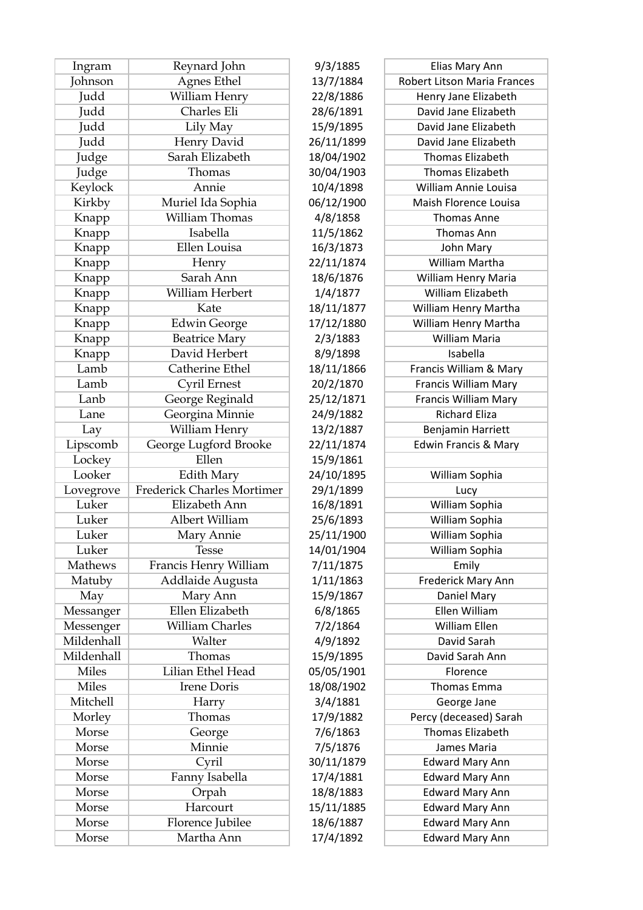| Ingram       | Reynard John               | 9/3/1885   | Elias Mary Ann                     |
|--------------|----------------------------|------------|------------------------------------|
| Johnson      | Agnes Ethel                | 13/7/1884  | <b>Robert Litson Maria Frances</b> |
| Judd         | William Henry              | 22/8/1886  | Henry Jane Elizabeth               |
| Judd         | Charles Eli                | 28/6/1891  | David Jane Elizabeth               |
| Judd         | Lily May                   | 15/9/1895  | David Jane Elizabeth               |
| Judd         | Henry David                | 26/11/1899 | David Jane Elizabeth               |
| Judge        | Sarah Elizabeth            | 18/04/1902 | <b>Thomas Elizabeth</b>            |
| Judge        | Thomas                     | 30/04/1903 | Thomas Elizabeth                   |
| Keylock      | Annie                      | 10/4/1898  | William Annie Louisa               |
| Kirkby       | Muriel Ida Sophia          | 06/12/1900 | Maish Florence Louisa              |
| Knapp        | William Thomas             | 4/8/1858   | <b>Thomas Anne</b>                 |
| Knapp        | Isabella                   | 11/5/1862  | Thomas Ann                         |
| Knapp        | Ellen Louisa               | 16/3/1873  | John Mary                          |
| Knapp        | Henry                      | 22/11/1874 | William Martha                     |
| Knapp        | Sarah Ann                  | 18/6/1876  | William Henry Maria                |
| Knapp        | William Herbert            | 1/4/1877   | William Elizabeth                  |
| Knapp        | Kate                       | 18/11/1877 | William Henry Martha               |
| Knapp        | <b>Edwin George</b>        | 17/12/1880 | William Henry Martha               |
| Knapp        | <b>Beatrice Mary</b>       | 2/3/1883   | William Maria                      |
| Knapp        | David Herbert              | 8/9/1898   | Isabella                           |
| Lamb         | Catherine Ethel            | 18/11/1866 | Francis William & Mary             |
| Lamb         | Cyril Ernest               | 20/2/1870  | <b>Francis William Mary</b>        |
| Lanb         | George Reginald            | 25/12/1871 | <b>Francis William Mary</b>        |
| Lane         | Georgina Minnie            | 24/9/1882  | <b>Richard Eliza</b>               |
| Lay          | William Henry              | 13/2/1887  | Benjamin Harriett                  |
| Lipscomb     | George Lugford Brooke      | 22/11/1874 | <b>Edwin Francis &amp; Mary</b>    |
| Lockey       | Ellen                      | 15/9/1861  |                                    |
| Looker       | <b>Edith Mary</b>          | 24/10/1895 | William Sophia                     |
| Lovegrove    | Frederick Charles Mortimer | 29/1/1899  | Lucy                               |
| Luker        | Elizabeth Ann              | 16/8/1891  | William Sophia                     |
| Luker        | Albert William             | 25/6/1893  | William Sophia                     |
| Luker        | Mary Annie                 | 25/11/1900 | William Sophia                     |
| Luker        | Tesse                      | 14/01/1904 | William Sophia                     |
| Mathews      | Francis Henry William      | 7/11/1875  | Emily                              |
| Matuby       | Addlaide Augusta           | 1/11/1863  | Frederick Mary Ann                 |
| May          | Mary Ann                   | 15/9/1867  | Daniel Mary                        |
| Messanger    | Ellen Elizabeth            | 6/8/1865   | Ellen William                      |
| Messenger    | William Charles            | 7/2/1864   | William Ellen                      |
| Mildenhall   | Walter                     | 4/9/1892   | David Sarah                        |
| Mildenhall   | Thomas                     | 15/9/1895  | David Sarah Ann                    |
| <b>Miles</b> | Lilian Ethel Head          | 05/05/1901 | Florence                           |
| <b>Miles</b> | <b>Irene Doris</b>         | 18/08/1902 | Thomas Emma                        |
| Mitchell     | Harry                      | 3/4/1881   | George Jane                        |
| Morley       | Thomas                     | 17/9/1882  | Percy (deceased) Sarah             |
| Morse        | George                     | 7/6/1863   | <b>Thomas Elizabeth</b>            |
| Morse        | Minnie                     | 7/5/1876   | James Maria                        |
| Morse        | Cyril                      | 30/11/1879 | <b>Edward Mary Ann</b>             |
| Morse        | Fanny Isabella             | 17/4/1881  | <b>Edward Mary Ann</b>             |
| Morse        | Orpah                      | 18/8/1883  | <b>Edward Mary Ann</b>             |
| Morse        | Harcourt                   | 15/11/1885 | <b>Edward Mary Ann</b>             |
| Morse        | Florence Jubilee           | 18/6/1887  | <b>Edward Mary Ann</b>             |
| Morse        | Martha Ann                 | 17/4/1892  | <b>Edward Mary Ann</b>             |
|              |                            |            |                                    |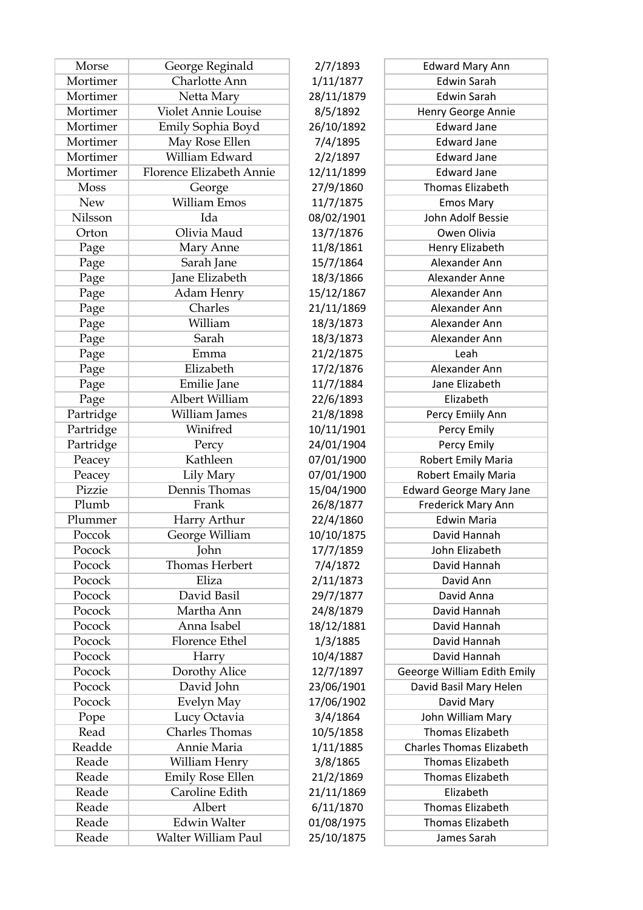| Morse       | George Reginald          | 2/7/1893   | <b>Edward Mary Ann</b>          |
|-------------|--------------------------|------------|---------------------------------|
| Mortimer    | Charlotte Ann            | 1/11/1877  | <b>Edwin Sarah</b>              |
| Mortimer    | Netta Mary               | 28/11/1879 | <b>Edwin Sarah</b>              |
| Mortimer    | Violet Annie Louise      | 8/5/1892   | Henry George Annie              |
| Mortimer    | Emily Sophia Boyd        | 26/10/1892 | <b>Edward Jane</b>              |
| Mortimer    | May Rose Ellen           | 7/4/1895   | <b>Edward Jane</b>              |
| Mortimer    | William Edward           | 2/2/1897   | <b>Edward Jane</b>              |
| Mortimer    | Florence Elizabeth Annie | 12/11/1899 | <b>Edward Jane</b>              |
| <b>Moss</b> | George                   | 27/9/1860  | <b>Thomas Elizabeth</b>         |
| <b>New</b>  | William Emos             | 11/7/1875  | <b>Emos Mary</b>                |
| Nilsson     | Ida                      | 08/02/1901 | John Adolf Bessie               |
| Orton       | Olivia Maud              | 13/7/1876  | Owen Olivia                     |
| Page        | Mary Anne                | 11/8/1861  | Henry Elizabeth                 |
| Page        | Sarah Jane               | 15/7/1864  | Alexander Ann                   |
| Page        | Jane Elizabeth           | 18/3/1866  | Alexander Anne                  |
| Page        | Adam Henry               | 15/12/1867 | Alexander Ann                   |
| Page        | Charles                  | 21/11/1869 | Alexander Ann                   |
| Page        | William                  | 18/3/1873  | Alexander Ann                   |
| Page        | Sarah                    | 18/3/1873  | Alexander Ann                   |
| Page        | Emma                     | 21/2/1875  | Leah                            |
| Page        | Elizabeth                | 17/2/1876  | Alexander Ann                   |
| Page        | Emilie Jane              | 11/7/1884  | Jane Elizabeth                  |
| Page        | Albert William           | 22/6/1893  | Elizabeth                       |
| Partridge   | William James            | 21/8/1898  | Percy Emiily Ann                |
| Partridge   | Winifred                 | 10/11/1901 | Percy Emily                     |
| Partridge   | Percy                    | 24/01/1904 | Percy Emily                     |
| Peacey      | Kathleen                 | 07/01/1900 | Robert Emily Maria              |
| Peacey      | Lily Mary                | 07/01/1900 | <b>Robert Emaily Maria</b>      |
| Pizzie      | Dennis Thomas            | 15/04/1900 | <b>Edward George Mary Jane</b>  |
| Plumb       | Frank                    | 26/8/1877  | Frederick Mary Ann              |
| Plummer     | Harry Arthur             | 22/4/1860  | <b>Edwin Maria</b>              |
| Poccok      | George William           | 10/10/1875 | David Hannah                    |
| Pocock      | John                     | 17/7/1859  | John Elizabeth                  |
| Pocock      | Thomas Herbert           | 7/4/1872   | David Hannah                    |
| Pocock      | Eliza                    | 2/11/1873  | David Ann                       |
| Pocock      | David Basil              | 29/7/1877  | David Anna                      |
| Pocock      | Martha Ann               | 24/8/1879  | David Hannah                    |
| Pocock      | Anna Isabel              | 18/12/1881 | David Hannah                    |
| Pocock      | <b>Florence Ethel</b>    | 1/3/1885   | David Hannah                    |
| Pocock      | Harry                    | 10/4/1887  | David Hannah                    |
| Pocock      | Dorothy Alice            | 12/7/1897  | Geeorge William Edith Emily     |
| Pocock      | David John               | 23/06/1901 | David Basil Mary Helen          |
| Pocock      | Evelyn May               | 17/06/1902 | David Mary                      |
| Pope        | Lucy Octavia             | 3/4/1864   | John William Mary               |
| Read        | Charles Thomas           | 10/5/1858  | Thomas Elizabeth                |
| Readde      | Annie Maria              | 1/11/1885  | <b>Charles Thomas Elizabeth</b> |
| Reade       | William Henry            | 3/8/1865   | Thomas Elizabeth                |
| Reade       | <b>Emily Rose Ellen</b>  | 21/2/1869  | Thomas Elizabeth                |
| Reade       | Caroline Edith           | 21/11/1869 | Elizabeth                       |
| Reade       | Albert                   | 6/11/1870  | Thomas Elizabeth                |
| Reade       | <b>Edwin Walter</b>      | 01/08/1975 | Thomas Elizabeth                |
| Reade       | Walter William Paul      | 25/10/1875 | James Sarah                     |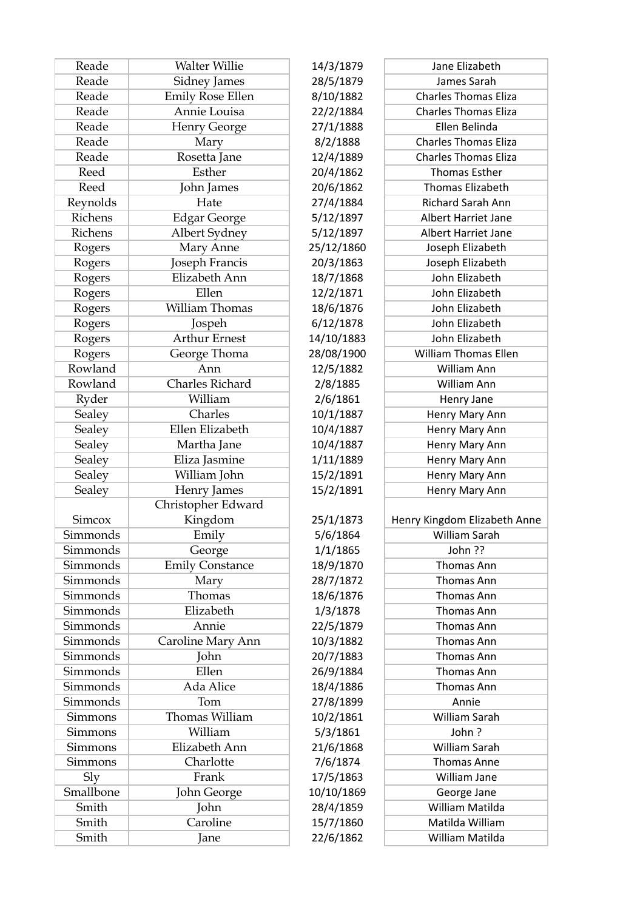| Reade           | <b>Walter Willie</b>    | 14/3/1879  | Jane Elizabeth               |
|-----------------|-------------------------|------------|------------------------------|
| Reade           | Sidney James            | 28/5/1879  | James Sarah                  |
| Reade           | <b>Emily Rose Ellen</b> | 8/10/1882  | <b>Charles Thomas Eliza</b>  |
| Reade           | Annie Louisa            | 22/2/1884  | <b>Charles Thomas Eliza</b>  |
| Reade           | <b>Henry George</b>     | 27/1/1888  | Ellen Belinda                |
| Reade           | Mary                    | 8/2/1888   | <b>Charles Thomas Eliza</b>  |
| Reade           | Rosetta Jane            | 12/4/1889  | <b>Charles Thomas Eliza</b>  |
| Reed            | Esther                  | 20/4/1862  | <b>Thomas Esther</b>         |
| Reed            | John James              | 20/6/1862  | Thomas Elizabeth             |
| Reynolds        | Hate                    | 27/4/1884  | Richard Sarah Ann            |
| Richens         | <b>Edgar George</b>     | 5/12/1897  | Albert Harriet Jane          |
| Richens         | Albert Sydney           | 5/12/1897  | Albert Harriet Jane          |
| Rogers          | Mary Anne               | 25/12/1860 | Joseph Elizabeth             |
| Rogers          | Joseph Francis          | 20/3/1863  | Joseph Elizabeth             |
| Rogers          | Elizabeth Ann           | 18/7/1868  | John Elizabeth               |
| Rogers          | Ellen                   | 12/2/1871  | John Elizabeth               |
| Rogers          | <b>William Thomas</b>   | 18/6/1876  | John Elizabeth               |
| Rogers          | Jospeh                  | 6/12/1878  | John Elizabeth               |
| Rogers          | <b>Arthur Ernest</b>    | 14/10/1883 | John Elizabeth               |
| Rogers          | George Thoma            | 28/08/1900 | <b>William Thomas Ellen</b>  |
| Rowland         | Ann                     | 12/5/1882  | William Ann                  |
| Rowland         | Charles Richard         | 2/8/1885   | William Ann                  |
| Ryder           | William                 | 2/6/1861   | Henry Jane                   |
| Sealey          | Charles                 | 10/1/1887  | Henry Mary Ann               |
| Sealey          | Ellen Elizabeth         | 10/4/1887  | Henry Mary Ann               |
| Sealey          | Martha Jane             | 10/4/1887  | Henry Mary Ann               |
| Sealey          | Eliza Jasmine           | 1/11/1889  | Henry Mary Ann               |
| Sealey          | William John            | 15/2/1891  | Henry Mary Ann               |
| Sealey          | Henry James             | 15/2/1891  | Henry Mary Ann               |
|                 | Christopher Edward      |            |                              |
| <b>Simcox</b>   | Kingdom                 | 25/1/1873  | Henry Kingdom Elizabeth Anne |
| Simmonds        | Emily                   | 5/6/1864   | William Sarah                |
| Simmonds        | George                  | 1/1/1865   | John ??                      |
| Simmonds        | <b>Emily Constance</b>  | 18/9/1870  | Thomas Ann                   |
| Simmonds        | Mary                    | 28/7/1872  | Thomas Ann                   |
| Simmonds        | Thomas                  | 18/6/1876  | Thomas Ann                   |
| Simmonds        | Elizabeth               | 1/3/1878   | Thomas Ann                   |
| Simmonds        | Annie                   | 22/5/1879  | Thomas Ann                   |
| Simmonds        | Caroline Mary Ann       | 10/3/1882  | Thomas Ann                   |
| Simmonds        | John                    | 20/7/1883  | <b>Thomas Ann</b>            |
| Simmonds        | Ellen                   | 26/9/1884  | Thomas Ann                   |
| <b>Simmonds</b> | Ada Alice               | 18/4/1886  | Thomas Ann                   |
| Simmonds        | Tom                     | 27/8/1899  | Annie                        |
| Simmons         | Thomas William          | 10/2/1861  | William Sarah                |
| <b>Simmons</b>  | William                 | 5/3/1861   | John?                        |
| <b>Simmons</b>  | Elizabeth Ann           | 21/6/1868  | William Sarah                |
| <b>Simmons</b>  | Charlotte               | 7/6/1874   | <b>Thomas Anne</b>           |
| Sly             | Frank                   | 17/5/1863  | William Jane                 |
| Smallbone       | John George             | 10/10/1869 | George Jane                  |
| Smith           | John                    | 28/4/1859  | William Matilda              |
| Smith           | Caroline                | 15/7/1860  | Matilda William              |
| Smith           | Jane                    | 22/6/1862  | William Matilda              |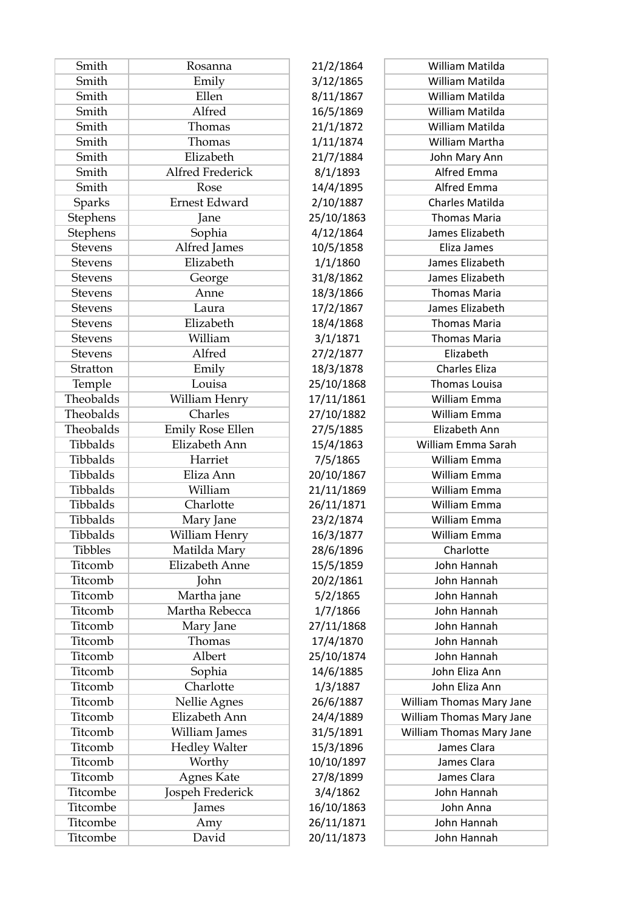| Smith          | Rosanna                 | 21/2/1864  | William Matilda          |
|----------------|-------------------------|------------|--------------------------|
| Smith          | Emily                   | 3/12/1865  | William Matilda          |
| Smith          | Ellen                   | 8/11/1867  | William Matilda          |
| Smith          | Alfred                  | 16/5/1869  | William Matilda          |
| Smith          | Thomas                  | 21/1/1872  | William Matilda          |
| Smith          | Thomas                  | 1/11/1874  | William Martha           |
| Smith          | Elizabeth               | 21/7/1884  | John Mary Ann            |
| Smith          | Alfred Frederick        | 8/1/1893   | Alfred Emma              |
| Smith          | Rose                    | 14/4/1895  | Alfred Emma              |
| Sparks         | <b>Ernest Edward</b>    | 2/10/1887  | Charles Matilda          |
| Stephens       | Jane                    | 25/10/1863 | <b>Thomas Maria</b>      |
| Stephens       | Sophia                  | 4/12/1864  | James Elizabeth          |
| <b>Stevens</b> | Alfred James            | 10/5/1858  | Eliza James              |
| <b>Stevens</b> | Elizabeth               | 1/1/1860   | James Elizabeth          |
| <b>Stevens</b> | George                  | 31/8/1862  | James Elizabeth          |
| Stevens        | Anne                    | 18/3/1866  | <b>Thomas Maria</b>      |
| <b>Stevens</b> | Laura                   | 17/2/1867  | James Elizabeth          |
| <b>Stevens</b> | Elizabeth               | 18/4/1868  | <b>Thomas Maria</b>      |
| <b>Stevens</b> | William                 | 3/1/1871   | <b>Thomas Maria</b>      |
| <b>Stevens</b> | Alfred                  | 27/2/1877  | Elizabeth                |
| Stratton       | Emily                   | 18/3/1878  | Charles Eliza            |
| Temple         | Louisa                  | 25/10/1868 | Thomas Louisa            |
| Theobalds      | William Henry           | 17/11/1861 | William Emma             |
| Theobalds      | Charles                 | 27/10/1882 | William Emma             |
| Theobalds      | <b>Emily Rose Ellen</b> | 27/5/1885  | Elizabeth Ann            |
| Tibbalds       | Elizabeth Ann           | 15/4/1863  | William Emma Sarah       |
| Tibbalds       | Harriet                 | 7/5/1865   | William Emma             |
| Tibbalds       | Eliza Ann               | 20/10/1867 | William Emma             |
| Tibbalds       | William                 | 21/11/1869 | William Emma             |
| Tibbalds       | Charlotte               | 26/11/1871 | William Emma             |
| Tibbalds       | Mary Jane               | 23/2/1874  | <b>William Emma</b>      |
| Tibbalds       | William Henry           | 16/3/1877  | William Emma             |
| <b>Tibbles</b> | Matilda Mary            | 28/6/1896  | Charlotte                |
| Titcomb        | <b>Elizabeth Anne</b>   | 15/5/1859  | John Hannah              |
| Titcomb        | John                    | 20/2/1861  | John Hannah              |
| Titcomb        | Martha jane             | 5/2/1865   | John Hannah              |
| Titcomb        | Martha Rebecca          | 1/7/1866   | John Hannah              |
| Titcomb        | Mary Jane               | 27/11/1868 | John Hannah              |
| Titcomb        | Thomas                  | 17/4/1870  | John Hannah              |
| Titcomb        | Albert                  | 25/10/1874 | John Hannah              |
| Titcomb        | Sophia                  | 14/6/1885  | John Eliza Ann           |
| Titcomb        | Charlotte               | 1/3/1887   | John Eliza Ann           |
| Titcomb        | Nellie Agnes            | 26/6/1887  | William Thomas Mary Jane |
| Titcomb        | Elizabeth Ann           | 24/4/1889  | William Thomas Mary Jane |
| Titcomb        | William James           | 31/5/1891  | William Thomas Mary Jane |
| Titcomb        | <b>Hedley Walter</b>    | 15/3/1896  | James Clara              |
| Titcomb        | Worthy                  | 10/10/1897 | James Clara              |
| Titcomb        | <b>Agnes Kate</b>       | 27/8/1899  | James Clara              |
| Titcombe       | Jospeh Frederick        | 3/4/1862   | John Hannah              |
| Titcombe       | James                   | 16/10/1863 | John Anna                |
| Titcombe       | Amy                     | 26/11/1871 | John Hannah              |
| Titcombe       | David                   | 20/11/1873 | John Hannah              |
|                |                         |            |                          |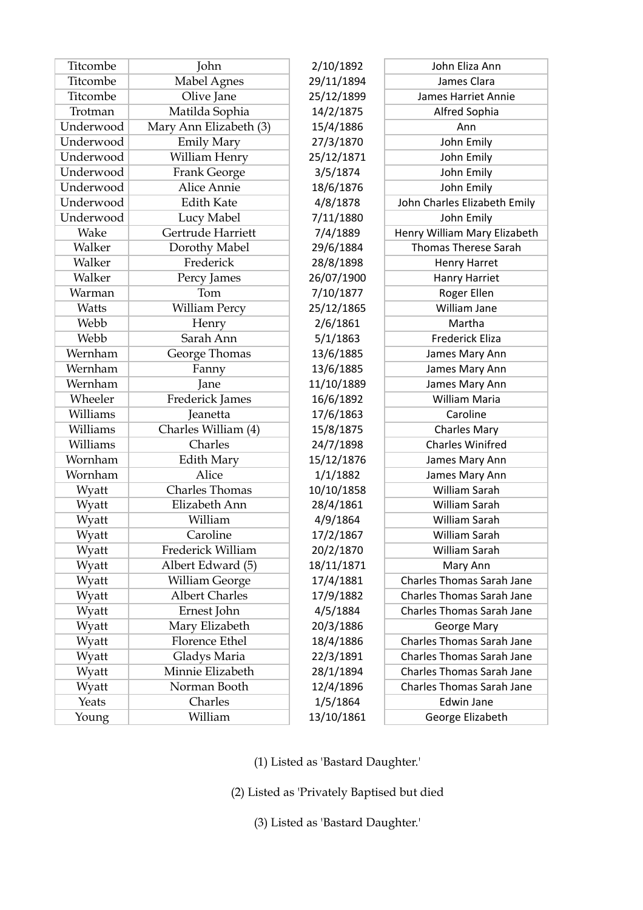| Titcombe  | John                   | 2/10/1892  | John Eliza Ann                   |
|-----------|------------------------|------------|----------------------------------|
| Titcombe  | Mabel Agnes            | 29/11/1894 | James Clara                      |
| Titcombe  | Olive Jane             | 25/12/1899 | James Harriet Annie              |
| Trotman   | Matilda Sophia         | 14/2/1875  | Alfred Sophia                    |
| Underwood | Mary Ann Elizabeth (3) | 15/4/1886  | Ann                              |
| Underwood | <b>Emily Mary</b>      | 27/3/1870  | John Emily                       |
| Underwood | William Henry          | 25/12/1871 | John Emily                       |
| Underwood | <b>Frank George</b>    | 3/5/1874   | John Emily                       |
| Underwood | <b>Alice Annie</b>     | 18/6/1876  | John Emily                       |
| Underwood | <b>Edith Kate</b>      | 4/8/1878   | John Charles Elizabeth Emily     |
| Underwood | Lucy Mabel             | 7/11/1880  | John Emily                       |
| Wake      | Gertrude Harriett      | 7/4/1889   | Henry William Mary Elizabeth     |
| Walker    | Dorothy Mabel          | 29/6/1884  | <b>Thomas Therese Sarah</b>      |
| Walker    | Frederick              | 28/8/1898  | <b>Henry Harret</b>              |
| Walker    | Percy James            | 26/07/1900 | <b>Hanry Harriet</b>             |
| Warman    | Tom                    | 7/10/1877  | Roger Ellen                      |
| Watts     | <b>William Percy</b>   | 25/12/1865 | William Jane                     |
| Webb      | Henry                  | 2/6/1861   | Martha                           |
| Webb      | Sarah Ann              | 5/1/1863   | <b>Frederick Eliza</b>           |
| Wernham   | George Thomas          | 13/6/1885  | James Mary Ann                   |
| Wernham   | Fanny                  | 13/6/1885  | James Mary Ann                   |
| Wernham   | Jane                   | 11/10/1889 | James Mary Ann                   |
| Wheeler   | Frederick James        | 16/6/1892  | William Maria                    |
| Williams  | Jeanetta               | 17/6/1863  | Caroline                         |
| Williams  | Charles William (4)    | 15/8/1875  | <b>Charles Mary</b>              |
| Williams  | Charles                | 24/7/1898  | <b>Charles Winifred</b>          |
| Wornham   | <b>Edith Mary</b>      | 15/12/1876 | James Mary Ann                   |
| Wornham   | Alice                  | 1/1/1882   | James Mary Ann                   |
| Wyatt     | <b>Charles Thomas</b>  | 10/10/1858 | William Sarah                    |
| Wyatt     | Elizabeth Ann          | 28/4/1861  | William Sarah                    |
| Wyatt     | William                | 4/9/1864   | <b>William Sarah</b>             |
| Wyatt     | Caroline               | 17/2/1867  | William Sarah                    |
| Wyatt     | Frederick William      | 20/2/1870  | William Sarah                    |
| Wyatt     | Albert Edward (5)      | 18/11/1871 | Mary Ann                         |
| Wyatt     | William George         | 17/4/1881  | <b>Charles Thomas Sarah Jane</b> |
| Wyatt     | <b>Albert Charles</b>  | 17/9/1882  | <b>Charles Thomas Sarah Jane</b> |
| Wyatt     | Ernest John            | 4/5/1884   | <b>Charles Thomas Sarah Jane</b> |
| Wyatt     | Mary Elizabeth         | 20/3/1886  | George Mary                      |
| Wyatt     | Florence Ethel         | 18/4/1886  | <b>Charles Thomas Sarah Jane</b> |
| Wyatt     | Gladys Maria           | 22/3/1891  | <b>Charles Thomas Sarah Jane</b> |
| Wyatt     | Minnie Elizabeth       | 28/1/1894  | <b>Charles Thomas Sarah Jane</b> |
| Wyatt     | Norman Booth           | 12/4/1896  | <b>Charles Thomas Sarah Jane</b> |
| Yeats     | Charles                | 1/5/1864   | <b>Edwin Jane</b>                |
| Young     | William                | 13/10/1861 | George Elizabeth                 |

(1) Listed as 'Bastard Daughter.'

(2) Listed as 'Privately Baptised but died

(3) Listed as 'Bastard Daughter.'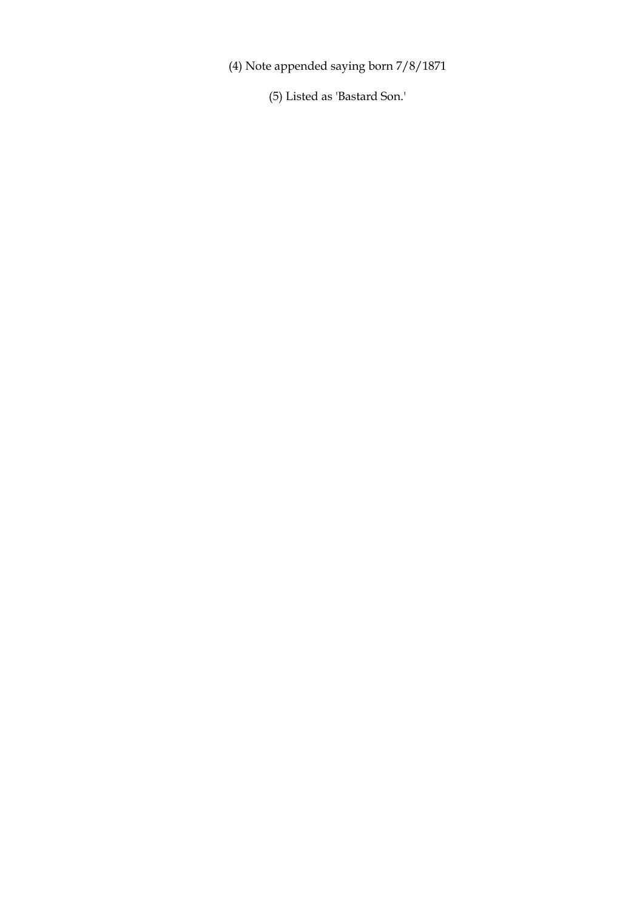(4) Note appended saying born 7/8/1871

(5) Listed as 'Bastard Son.'